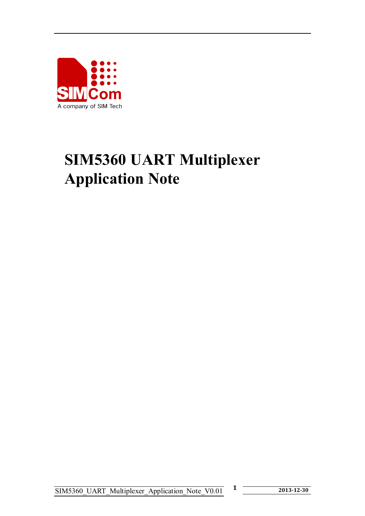

# **SIM5360 UART Multiplexer Application Note**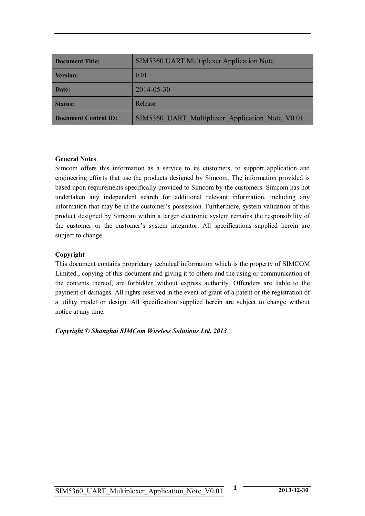| <b>Document Title:</b>      | <b>SIM5360 UART Multiplexer Application Note</b> |
|-----------------------------|--------------------------------------------------|
| <b>Version:</b>             | 0.01                                             |
| Date:                       | 2014-05-30                                       |
| <b>Status:</b>              | Release                                          |
| <b>Document Control ID:</b> | SIM5360 UART Multiplexer Application Note V0.01  |

#### **General Notes**

Simcom offers this information as a service to its customers, to support application and engineering efforts that use the products designed by Simcom. The information provided is based upon requirements specifically provided to Simcom by the customers. Simcom has not undertaken any independent search for additional relevant information, including any information that may be in the customer's possession. Furthermore, system validation of this product designed by Simcom within a larger electronic system remains the responsibility of the customer or the customer's system integrator. All specifications supplied herein are subject to change.

#### **Copyright**

This document contains proprietary technical information which is the property of SIMCOM Limited., copying of this document and giving it to others and the using or communication of the contents thereof, are forbidden without express authority. Offenders are liable to the payment of damages. All rights reserved in the event of grant of a patent or the registration of a utility model or design. All specification supplied herein are subject to change without notice at any time.

*Copyright © Shanghai SIMCom Wireless Solutions Ltd. 2013*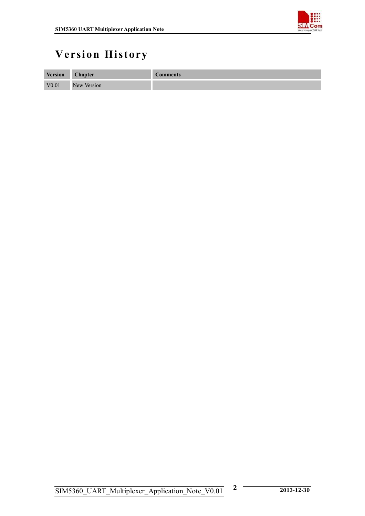

## **Version History**

| <b>Version</b> | <b>Chapter</b> | <b>Comments</b> |
|----------------|----------------|-----------------|
| V0.01          | New Version    |                 |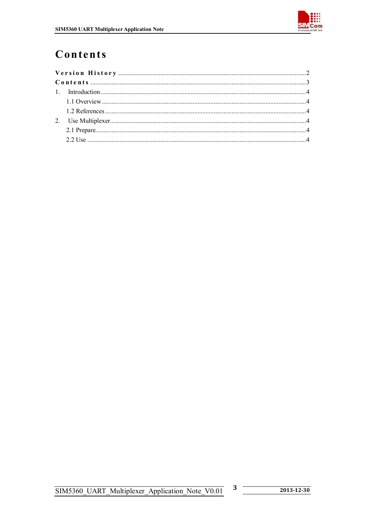

## Contents

 $\boldsymbol{3}$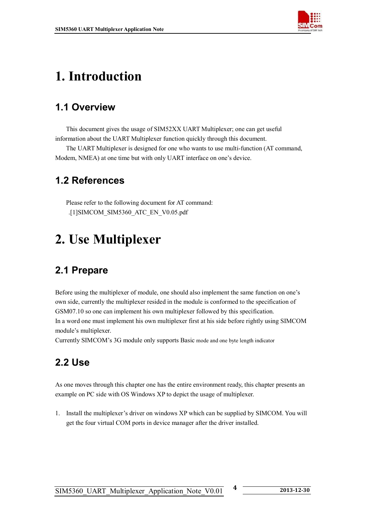

## **1. Introduction**

### **1.1 Overview**

This document gives the usage of SIM52XX UART Multiplexer; one can get useful information about the UART Multiplexer function quickly through this document.

The UART Multiplexer is designed for one who wants to use multi-function (AT command, Modem, NMEA) at one time but with only UART interface on one's device.

### **1.2 References**

Please refer to the following document for AT command: .[1]SIMCOM\_SIM5360\_ATC\_EN\_V0.05.pdf

## **2. Use Multiplexer**

### **2.1 Prepare**

Before using the multiplexer of module, one should also implement the same function on one's own side, currently the multiplexer resided in the module is conformed to the specification of GSM07.10 so one can implement his own multiplexer followed by this specification. In a word one must implement his own multiplexer first at his side before rightly using SIMCOM module's multiplexer.

Currently SIMCOM's 3G module only supports Basic mode and one byte length indicator

### **2.2 Use**

As one moves through this chapter one has the entire environment ready, this chapter presents an example on PC side with OS Windows XP to depict the usage of multiplexer.

1. Install the multiplexer's driver on windows XP which can be supplied by SIMCOM. You will get the four virtual COM ports in device manager after the driver installed.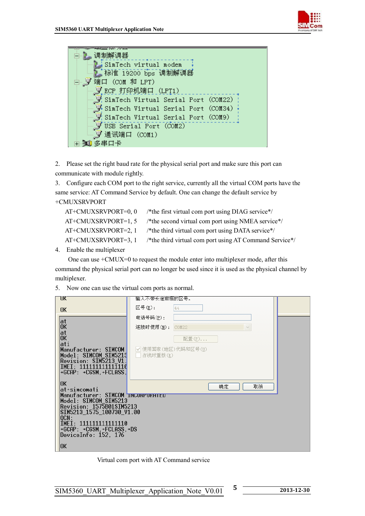



2. Please set the right baud rate for the physical serial port and make sure this port can communicate with module rightly.

3. Configure each COM port to the right service, currently all the virtual COM ports have the same service: AT Command Service by default. One can change the default service by +CMUXSRVPORT

| AT+CMUXSRVPORT=0, 0   | /*the first virtual com port using DIAG service*/       |
|-----------------------|---------------------------------------------------------|
| AT+CMUXSRVPORT=1, 5   | /*the second virtual com port using NMEA service*/      |
| AT+CMUXSRVPORT=2, 1   | /*the third virtual com port using DATA service*/       |
| $AT+CMUXSRVPORT=3, 1$ | /*the third virtual com port using AT Command Service*/ |
|                       |                                                         |

4. Enable the multiplexer

 One can use +CMUX=0 to request the module enter into multiplexer mode, after this command the physical serial port can no longer be used since it is used as the physical channel by multiplexer.

#### 5. Now one can use the virtual com ports as normal.

| UK.                                               | 输入不带长途前缀的区号。                    |  |
|---------------------------------------------------|---------------------------------|--|
| 0K                                                | 区号(E):<br>44                    |  |
| at                                                | 电话号码(P):                        |  |
| 0K                                                | 连接时使用(M):<br>COM22<br>$\vee$    |  |
| at<br>0K                                          | 配置(F)                           |  |
| ati                                               |                                 |  |
| Manufacturer: SIMCOM<br>Model: SIMCOM_SIM5213     | ✔  使用国家(地区)代码和区号(U)<br>占线时重拨(R) |  |
| Revision: SIM5213 V1.                             |                                 |  |
| IMEI: 111111111111110<br>+GCAP: +CGSM.+FCLASS.    |                                 |  |
|                                                   |                                 |  |
| 0K<br>at+simcomati                                | 确定<br>取消                        |  |
| Manufacturer: SIMCOM INCORPORHIED                 |                                 |  |
| Model: SIMCOM_SIM5213<br>Revision: 1575B01SIM5213 |                                 |  |
| SIM5213 1575 100730 V1.00                         |                                 |  |
| QCN:<br>IMEI: 111111111111110                     |                                 |  |
| +GCAP: +CGSM, +FCLASS, +DS                        |                                 |  |
| DeviceInfo: 152, 176                              |                                 |  |
| 0K                                                |                                 |  |

Virtual com port with AT Command service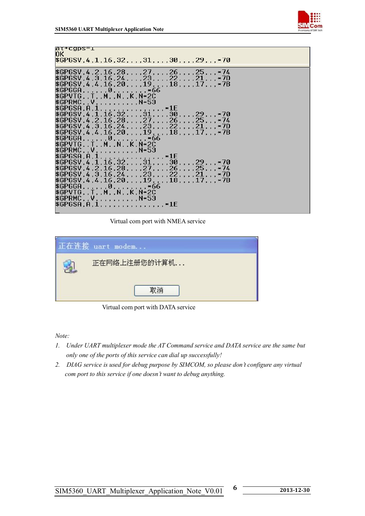

| ar+cgps=1<br>ЮK<br>$$GPGSV, 4, 1, 16, 32, , 31, , 30, , 29, , *70$ |
|--------------------------------------------------------------------|
|                                                                    |
| $$GPGSV, 4, 2, 16, 28, , 27, , 26, , 25, , *74$                    |
| $$GPGSV, 4, 3, 16, 24, , 23, , 22, , 21, , **7D$$                  |
| $$GPGSV, 4, 4, 16, 20, , 19, , 18, , 17, , *7B$                    |
| $$GPGGG1, 1, 1, 0, 0, 1, 1, 1, 1, *66$                             |
| \$GPVTG,,T,,M,,N,,K,N*2C                                           |
| $$GPRMC, V, , , N*53$                                              |
| $$GPGSA, A, 1, , , , , , , , , , , , , *1E$                        |
| $$GPGSV, 4, 1, 16, 32, , 31, , 30, , 29, , *70$                    |
| $$GPGSV, 4, 2, 16, 28, , 27, , 26, , 25, , *74$                    |
| $$GPGSV, 4, 3, 16, 24, , , , , 23, , , , 22, , , , 21, , , *7D$    |
| $$GPGSV, 4, 4, 16, 20, , 19, , 18, , 17, , **7B$                   |
| \$GPGGG1, 1, 1, 0, 1, 1, 1, 1, 1, 66                               |
| \$GPVTG,,T,,M,,N,,K,N*2C                                           |
| $$GPRMC, V, , , N*53$                                              |
| $$GPGSA, A, 1, , , , , , , , , , , , , , *1E$                      |
| $$GPGSV, 4, 1, 16, 32, , 31, , 30, , 29, , . *70$                  |
| $$GPGSV, 4, 2, 16, 28, , 27, , 26, , 25, , **74$                   |
| $$GPGSV, 4, 3, 16, 24, , 23, , 22, , 21, , *7D$                    |
| $$GPGSV, 4, 4, 16, 20, , 19, , 18, , 17, , **7B$                   |
| $$GPGGG$ , , , , , , 0, , , , , , , , *66                          |
| \$GPVTG, , T, , M, , N, , K, N*2C                                  |
| $$GPRMC, V, , , N*53$                                              |
| \$GPGSA, A, 1, , , ,                                               |
|                                                                    |

Virtual com port with NMEA service

| 正在连接 uart modem |
|-----------------|
| 正在网络上注册您的计算机    |
| 取消              |

Virtual com port with DATA service

*Note:* 

- *1. Under UART multiplexer mode the AT Command service and DATA service are the same but only one of the ports of this service can dial up successfully!*
- *2. DIAG service is used for debug purpose by SIMCOM, so please don't configure any virtual com port to this service if one doesn't want to debug anything.*